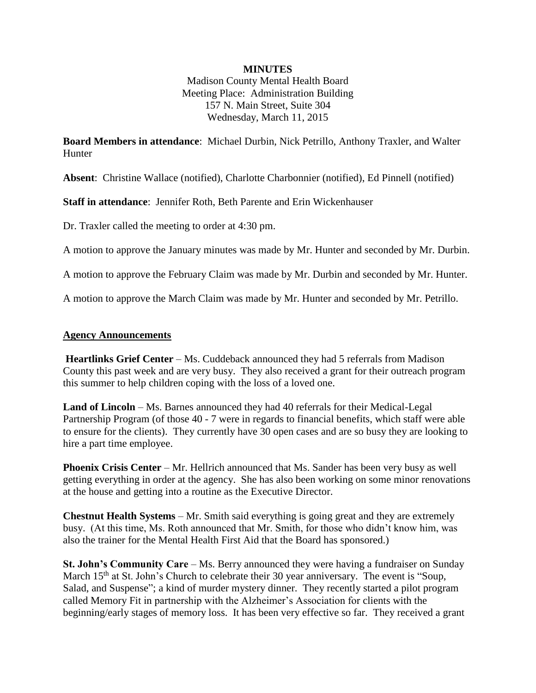### **MINUTES**

Madison County Mental Health Board Meeting Place: Administration Building 157 N. Main Street, Suite 304 Wednesday, March 11, 2015

**Board Members in attendance**: Michael Durbin, Nick Petrillo, Anthony Traxler, and Walter **Hunter** 

**Absent**: Christine Wallace (notified), Charlotte Charbonnier (notified), Ed Pinnell (notified)

**Staff in attendance**: Jennifer Roth, Beth Parente and Erin Wickenhauser

Dr. Traxler called the meeting to order at 4:30 pm.

A motion to approve the January minutes was made by Mr. Hunter and seconded by Mr. Durbin.

A motion to approve the February Claim was made by Mr. Durbin and seconded by Mr. Hunter.

A motion to approve the March Claim was made by Mr. Hunter and seconded by Mr. Petrillo.

#### **Agency Announcements**

**Heartlinks Grief Center** – Ms. Cuddeback announced they had 5 referrals from Madison County this past week and are very busy. They also received a grant for their outreach program this summer to help children coping with the loss of a loved one.

**Land of Lincoln** – Ms. Barnes announced they had 40 referrals for their Medical-Legal Partnership Program (of those 40 - 7 were in regards to financial benefits, which staff were able to ensure for the clients). They currently have 30 open cases and are so busy they are looking to hire a part time employee.

**Phoenix Crisis Center** – Mr. Hellrich announced that Ms. Sander has been very busy as well getting everything in order at the agency. She has also been working on some minor renovations at the house and getting into a routine as the Executive Director.

**Chestnut Health Systems** – Mr. Smith said everything is going great and they are extremely busy. (At this time, Ms. Roth announced that Mr. Smith, for those who didn't know him, was also the trainer for the Mental Health First Aid that the Board has sponsored.)

**St. John's Community Care** – Ms. Berry announced they were having a fundraiser on Sunday March 15<sup>th</sup> at St. John's Church to celebrate their 30 year anniversary. The event is "Soup, Salad, and Suspense"; a kind of murder mystery dinner. They recently started a pilot program called Memory Fit in partnership with the Alzheimer's Association for clients with the beginning/early stages of memory loss. It has been very effective so far. They received a grant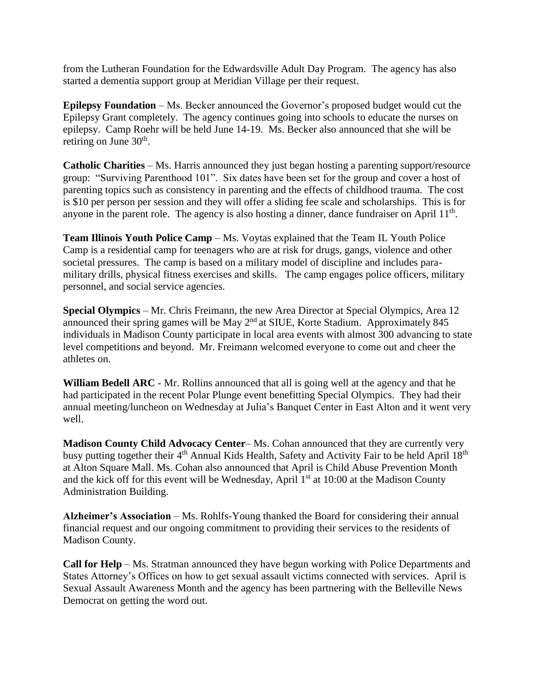from the Lutheran Foundation for the Edwardsville Adult Day Program. The agency has also started a dementia support group at Meridian Village per their request.

**Epilepsy Foundation** – Ms. Becker announced the Governor's proposed budget would cut the Epilepsy Grant completely. The agency continues going into schools to educate the nurses on epilepsy. Camp Roehr will be held June 14-19. Ms. Becker also announced that she will be retiring on June  $30<sup>th</sup>$ .

**Catholic Charities** – Ms. Harris announced they just began hosting a parenting support/resource group: "Surviving Parenthood 101". Six dates have been set for the group and cover a host of parenting topics such as consistency in parenting and the effects of childhood trauma. The cost is \$10 per person per session and they will offer a sliding fee scale and scholarships. This is for anyone in the parent role. The agency is also hosting a dinner, dance fundraiser on April  $11<sup>th</sup>$ .

**Team Illinois Youth Police Camp** – Ms. Voytas explained that the Team IL Youth Police Camp is a residential camp for teenagers who are at risk for drugs, gangs, violence and other societal pressures. The camp is based on a military model of discipline and includes paramilitary drills, physical fitness exercises and skills. The camp engages police officers, military personnel, and social service agencies.

**Special Olympics** – Mr. Chris Freimann, the new Area Director at Special Olympics, Area 12 announced their spring games will be May 2<sup>nd</sup> at SIUE, Korte Stadium. Approximately 845 individuals in Madison County participate in local area events with almost 300 advancing to state level competitions and beyond. Mr. Freimann welcomed everyone to come out and cheer the athletes on.

**William Bedell ARC** - Mr. Rollins announced that all is going well at the agency and that he had participated in the recent Polar Plunge event benefitting Special Olympics. They had their annual meeting/luncheon on Wednesday at Julia's Banquet Center in East Alton and it went very well.

**Madison County Child Advocacy Center**– Ms. Cohan announced that they are currently very busy putting together their 4<sup>th</sup> Annual Kids Health, Safety and Activity Fair to be held April 18<sup>th</sup> at Alton Square Mall. Ms. Cohan also announced that April is Child Abuse Prevention Month and the kick off for this event will be Wednesday, April 1<sup>st</sup> at 10:00 at the Madison County Administration Building.

**Alzheimer's Association** – Ms. Rohlfs-Young thanked the Board for considering their annual financial request and our ongoing commitment to providing their services to the residents of Madison County.

**Call for Help** – Ms. Stratman announced they have begun working with Police Departments and States Attorney's Offices on how to get sexual assault victims connected with services. April is Sexual Assault Awareness Month and the agency has been partnering with the Belleville News Democrat on getting the word out.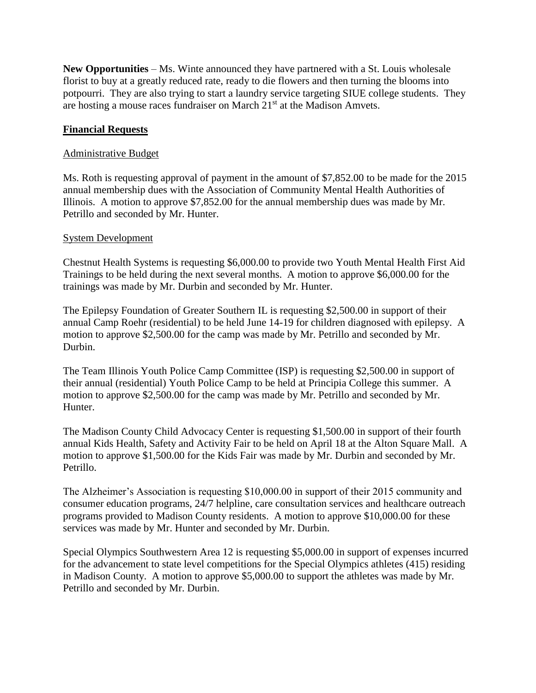**New Opportunities** – Ms. Winte announced they have partnered with a St. Louis wholesale florist to buy at a greatly reduced rate, ready to die flowers and then turning the blooms into potpourri. They are also trying to start a laundry service targeting SIUE college students. They are hosting a mouse races fundraiser on March 21<sup>st</sup> at the Madison Amvets.

## **Financial Requests**

#### Administrative Budget

Ms. Roth is requesting approval of payment in the amount of \$7,852.00 to be made for the 2015 annual membership dues with the Association of Community Mental Health Authorities of Illinois. A motion to approve \$7,852.00 for the annual membership dues was made by Mr. Petrillo and seconded by Mr. Hunter.

#### System Development

Chestnut Health Systems is requesting \$6,000.00 to provide two Youth Mental Health First Aid Trainings to be held during the next several months. A motion to approve \$6,000.00 for the trainings was made by Mr. Durbin and seconded by Mr. Hunter.

The Epilepsy Foundation of Greater Southern IL is requesting \$2,500.00 in support of their annual Camp Roehr (residential) to be held June 14-19 for children diagnosed with epilepsy. A motion to approve \$2,500.00 for the camp was made by Mr. Petrillo and seconded by Mr. Durbin.

The Team Illinois Youth Police Camp Committee (ISP) is requesting \$2,500.00 in support of their annual (residential) Youth Police Camp to be held at Principia College this summer. A motion to approve \$2,500.00 for the camp was made by Mr. Petrillo and seconded by Mr. Hunter.

The Madison County Child Advocacy Center is requesting \$1,500.00 in support of their fourth annual Kids Health, Safety and Activity Fair to be held on April 18 at the Alton Square Mall. A motion to approve \$1,500.00 for the Kids Fair was made by Mr. Durbin and seconded by Mr. Petrillo.

The Alzheimer's Association is requesting \$10,000.00 in support of their 2015 community and consumer education programs, 24/7 helpline, care consultation services and healthcare outreach programs provided to Madison County residents. A motion to approve \$10,000.00 for these services was made by Mr. Hunter and seconded by Mr. Durbin.

Special Olympics Southwestern Area 12 is requesting \$5,000.00 in support of expenses incurred for the advancement to state level competitions for the Special Olympics athletes (415) residing in Madison County. A motion to approve \$5,000.00 to support the athletes was made by Mr. Petrillo and seconded by Mr. Durbin.